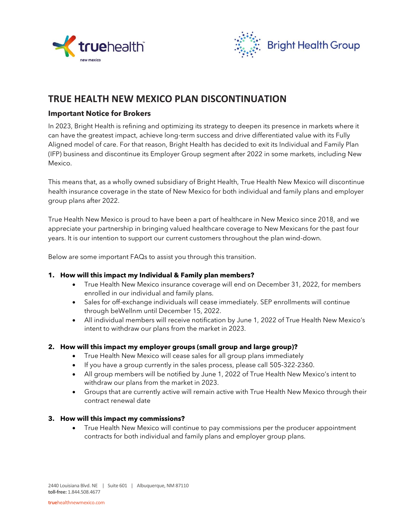



# **TRUE HEALTH NEW MEXICO PLAN DISCONTINUATION**

## **Important Notice for Brokers**

In 2023, Bright Health is refining and optimizing its strategy to deepen its presence in markets where it can have the greatest impact, achieve long-term success and drive differentiated value with its Fully Aligned model of care. For that reason, Bright Health has decided to exit its Individual and Family Plan (IFP) business and discontinue its Employer Group segment after 2022 in some markets, including New Mexico.

This means that, as a wholly owned subsidiary of Bright Health, True Health New Mexico will discontinue health insurance coverage in the state of New Mexico for both individual and family plans and employer group plans after 2022.

True Health New Mexico is proud to have been a part of healthcare in New Mexico since 2018, and we appreciate your partnership in bringing valued healthcare coverage to New Mexicans for the past four years. It is our intention to support our current customers throughout the plan wind-down.

Below are some important FAQs to assist you through this transition.

#### **1. How will this impact my Individual & Family plan members?**

- True Health New Mexico insurance coverage will end on December 31, 2022, for members enrolled in our individual and family plans.
- Sales for off-exchange individuals will cease immediately. SEP enrollments will continue through beWellnm until December 15, 2022.
- All individual members will receive notification by June 1, 2022 of True Health New Mexico's intent to withdraw our plans from the market in 2023.

#### **2. How will this impact my employer groups (small group and large group)?**

- True Health New Mexico will cease sales for all group plans immediately
- If you have a group currently in the sales process, please call 505-322-2360.
- All group members will be notified by June 1, 2022 of True Health New Mexico's intent to withdraw our plans from the market in 2023.
- Groups that are currently active will remain active with True Health New Mexico through their contract renewal date

#### **3. How will this impact my commissions?**

• True Health New Mexico will continue to pay commissions per the producer appointment contracts for both individual and family plans and employer group plans.